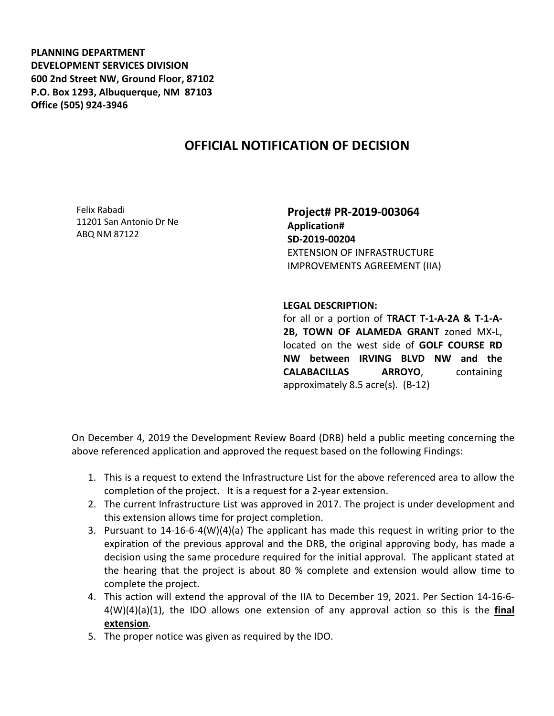**PLANNING DEPARTMENT DEVELOPMENT SERVICES DIVISION 600 2nd Street NW, Ground Floor, 87102 P.O. Box 1293, Albuquerque, NM 87103 Office (505) 924-3946** 

## **OFFICIAL NOTIFICATION OF DECISION**

Felix Rabadi 11201 San Antonio Dr Ne ABQ NM 87122

**Project# PR-2019-003064 Application# SD-2019-00204** EXTENSION OF INFRASTRUCTURE IMPROVEMENTS AGREEMENT (IIA)

## **LEGAL DESCRIPTION:**

for all or a portion of **TRACT T-1-A-2A & T-1-A-2B, TOWN OF ALAMEDA GRANT** zoned MX-L, located on the west side of **GOLF COURSE RD NW between IRVING BLVD NW and the CALABACILLAS ARROYO**, containing approximately 8.5 acre(s). (B-12)

On December 4, 2019 the Development Review Board (DRB) held a public meeting concerning the above referenced application and approved the request based on the following Findings:

- 1. This is a request to extend the Infrastructure List for the above referenced area to allow the completion of the project. It is a request for a 2-year extension.
- 2. The current Infrastructure List was approved in 2017. The project is under development and this extension allows time for project completion.
- 3. Pursuant to 14-16-6-4(W)(4)(a) The applicant has made this request in writing prior to the expiration of the previous approval and the DRB, the original approving body, has made a decision using the same procedure required for the initial approval. The applicant stated at the hearing that the project is about 80 % complete and extension would allow time to complete the project.
- 4. This action will extend the approval of the IIA to December 19, 2021. Per Section 14-16-6- 4(W)(4)(a)(1), the IDO allows one extension of any approval action so this is the **final extension**.
- 5. The proper notice was given as required by the IDO.